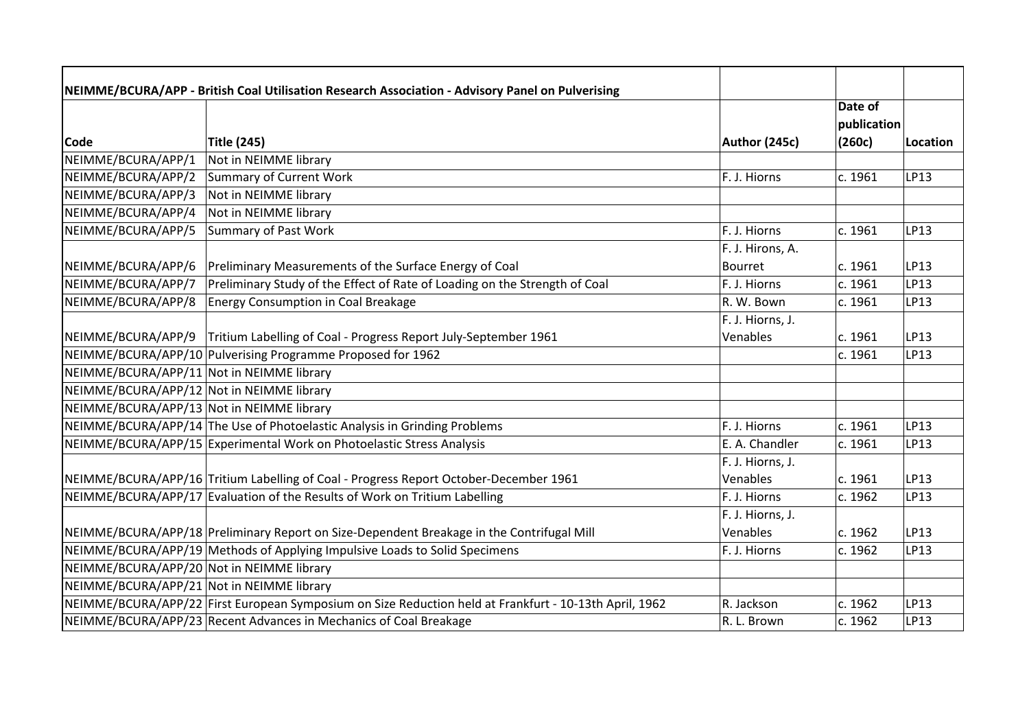|                                           | NEIMME/BCURA/APP - British Coal Utilisation Research Association - Advisory Panel on Pulverising       |                  |             |             |
|-------------------------------------------|--------------------------------------------------------------------------------------------------------|------------------|-------------|-------------|
|                                           |                                                                                                        |                  | Date of     |             |
|                                           |                                                                                                        |                  | publication |             |
| <b>Code</b>                               | <b>Title (245)</b>                                                                                     | Author (245c)    | (260c)      | Location    |
| NEIMME/BCURA/APP/1                        | Not in NEIMME library                                                                                  |                  |             |             |
| NEIMME/BCURA/APP/2                        | Summary of Current Work                                                                                | F. J. Hiorns     | c. 1961     | LP13        |
| NEIMME/BCURA/APP/3                        | Not in NEIMME library                                                                                  |                  |             |             |
| NEIMME/BCURA/APP/4                        | Not in NEIMME library                                                                                  |                  |             |             |
| NEIMME/BCURA/APP/5                        | Summary of Past Work                                                                                   | F. J. Hiorns     | c. 1961     | LP13        |
|                                           |                                                                                                        | F. J. Hirons, A. |             |             |
| NEIMME/BCURA/APP/6                        | Preliminary Measurements of the Surface Energy of Coal                                                 | Bourret          | c. 1961     | LP13        |
| NEIMME/BCURA/APP/7                        | Preliminary Study of the Effect of Rate of Loading on the Strength of Coal                             | F. J. Hiorns     | c. 1961     | <b>LP13</b> |
| NEIMME/BCURA/APP/8                        | <b>Energy Consumption in Coal Breakage</b>                                                             | R. W. Bown       | c. 1961     | LP13        |
|                                           |                                                                                                        | F. J. Hiorns, J. |             |             |
| NEIMME/BCURA/APP/9                        | Tritium Labelling of Coal - Progress Report July-September 1961                                        | Venables         | c. 1961     | <b>LP13</b> |
|                                           | NEIMME/BCURA/APP/10 Pulverising Programme Proposed for 1962                                            |                  | c. 1961     | LP13        |
| NEIMME/BCURA/APP/11 Not in NEIMME library |                                                                                                        |                  |             |             |
| NEIMME/BCURA/APP/12 Not in NEIMME library |                                                                                                        |                  |             |             |
| NEIMME/BCURA/APP/13 Not in NEIMME library |                                                                                                        |                  |             |             |
|                                           | NEIMME/BCURA/APP/14 The Use of Photoelastic Analysis in Grinding Problems                              | F. J. Hiorns     | c. 1961     | <b>LP13</b> |
|                                           | NEIMME/BCURA/APP/15 Experimental Work on Photoelastic Stress Analysis                                  | E. A. Chandler   | c. 1961     | LP13        |
|                                           |                                                                                                        | F. J. Hiorns, J. |             |             |
|                                           | NEIMME/BCURA/APP/16 Tritium Labelling of Coal - Progress Report October-December 1961                  | Venables         | c. 1961     | <b>LP13</b> |
|                                           | NEIMME/BCURA/APP/17 Evaluation of the Results of Work on Tritium Labelling                             | F. J. Hiorns     | c. 1962     | LP13        |
|                                           |                                                                                                        | F. J. Hiorns, J. |             |             |
|                                           | NEIMME/BCURA/APP/18 Preliminary Report on Size-Dependent Breakage in the Contrifugal Mill              | Venables         | c. 1962     | LP13        |
|                                           | NEIMME/BCURA/APP/19 Methods of Applying Impulsive Loads to Solid Specimens                             | F. J. Hiorns     | c. 1962     | LP13        |
| NEIMME/BCURA/APP/20 Not in NEIMME library |                                                                                                        |                  |             |             |
| NEIMME/BCURA/APP/21 Not in NEIMME library |                                                                                                        |                  |             |             |
|                                           | NEIMME/BCURA/APP/22 First European Symposium on Size Reduction held at Frankfurt - 10-13th April, 1962 | R. Jackson       | c. 1962     | LP13        |
|                                           | NEIMME/BCURA/APP/23 Recent Advances in Mechanics of Coal Breakage                                      | R. L. Brown      | c. 1962     | LP13        |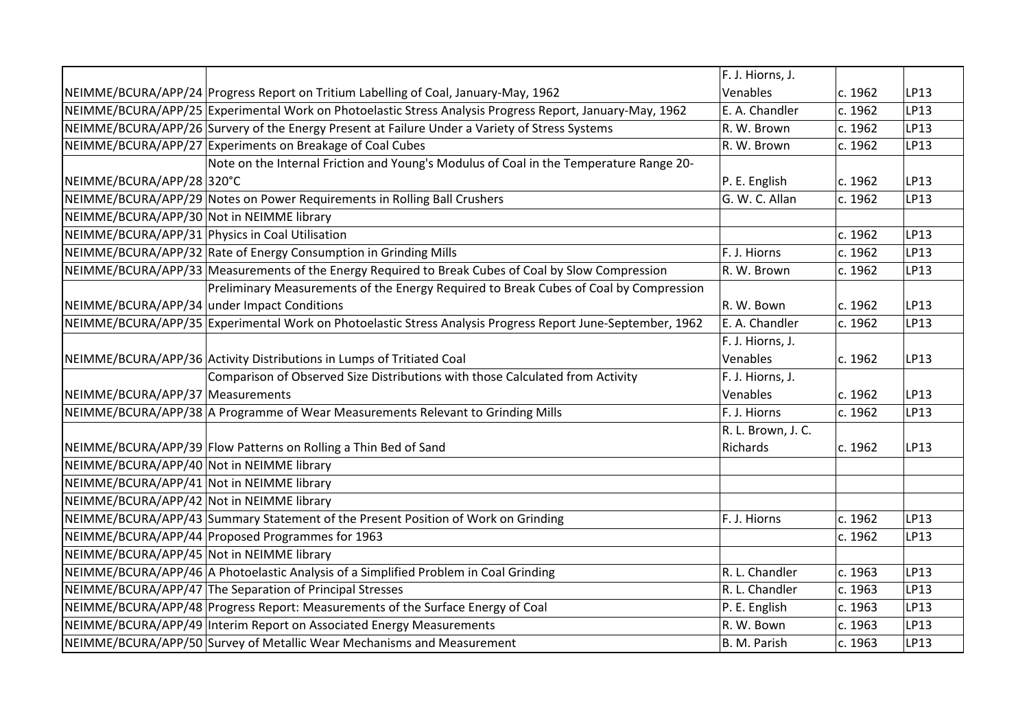|                                           |                                                                                                            | F. J. Hiorns, J.   |         |             |
|-------------------------------------------|------------------------------------------------------------------------------------------------------------|--------------------|---------|-------------|
|                                           | NEIMME/BCURA/APP/24 Progress Report on Tritium Labelling of Coal, January-May, 1962                        | Venables           | c. 1962 | LP13        |
|                                           | NEIMME/BCURA/APP/25 Experimental Work on Photoelastic Stress Analysis Progress Report, January-May, 1962   | E. A. Chandler     | c. 1962 | LP13        |
|                                           | NEIMME/BCURA/APP/26 Survery of the Energy Present at Failure Under a Variety of Stress Systems             | R. W. Brown        | c. 1962 | LP13        |
|                                           | NEIMME/BCURA/APP/27 Experiments on Breakage of Coal Cubes                                                  | R. W. Brown        | c. 1962 | LP13        |
|                                           | Note on the Internal Friction and Young's Modulus of Coal in the Temperature Range 20-                     |                    |         |             |
| NEIMME/BCURA/APP/28 320°C                 |                                                                                                            | P. E. English      | c. 1962 | LP13        |
|                                           | NEIMME/BCURA/APP/29 Notes on Power Requirements in Rolling Ball Crushers                                   | G. W. C. Allan     | c. 1962 | LP13        |
| NEIMME/BCURA/APP/30 Not in NEIMME library |                                                                                                            |                    |         |             |
|                                           | NEIMME/BCURA/APP/31 Physics in Coal Utilisation                                                            |                    | c. 1962 | <b>LP13</b> |
|                                           | NEIMME/BCURA/APP/32 Rate of Energy Consumption in Grinding Mills                                           | F. J. Hiorns       | c. 1962 | LP13        |
|                                           | NEIMME/BCURA/APP/33 Measurements of the Energy Required to Break Cubes of Coal by Slow Compression         | R. W. Brown        | c. 1962 | LP13        |
|                                           | Preliminary Measurements of the Energy Required to Break Cubes of Coal by Compression                      |                    |         |             |
|                                           | NEIMME/BCURA/APP/34 under Impact Conditions                                                                | R. W. Bown         | c. 1962 | LP13        |
|                                           | NEIMME/BCURA/APP/35 Experimental Work on Photoelastic Stress Analysis Progress Report June-September, 1962 | E. A. Chandler     | c. 1962 | LP13        |
|                                           |                                                                                                            | F. J. Hiorns, J.   |         |             |
|                                           | NEIMME/BCURA/APP/36 Activity Distributions in Lumps of Tritiated Coal                                      | Venables           | c. 1962 | LP13        |
|                                           | Comparison of Observed Size Distributions with those Calculated from Activity                              | F. J. Hiorns, J.   |         |             |
| NEIMME/BCURA/APP/37 Measurements          |                                                                                                            | Venables           | c. 1962 | LP13        |
|                                           | NEIMME/BCURA/APP/38 A Programme of Wear Measurements Relevant to Grinding Mills                            | F. J. Hiorns       | c. 1962 | LP13        |
|                                           |                                                                                                            | R. L. Brown, J. C. |         |             |
|                                           | NEIMME/BCURA/APP/39 Flow Patterns on Rolling a Thin Bed of Sand                                            | Richards           | c. 1962 | LP13        |
| NEIMME/BCURA/APP/40 Not in NEIMME library |                                                                                                            |                    |         |             |
| NEIMME/BCURA/APP/41 Not in NEIMME library |                                                                                                            |                    |         |             |
| NEIMME/BCURA/APP/42 Not in NEIMME library |                                                                                                            |                    |         |             |
|                                           | NEIMME/BCURA/APP/43 Summary Statement of the Present Position of Work on Grinding                          | F. J. Hiorns       | c. 1962 | LP13        |
|                                           | NEIMME/BCURA/APP/44 Proposed Programmes for 1963                                                           |                    | c. 1962 | LP13        |
| NEIMME/BCURA/APP/45 Not in NEIMME library |                                                                                                            |                    |         |             |
|                                           | NEIMME/BCURA/APP/46 A Photoelastic Analysis of a Simplified Problem in Coal Grinding                       | R. L. Chandler     | c. 1963 | LP13        |
|                                           | NEIMME/BCURA/APP/47 The Separation of Principal Stresses                                                   | R. L. Chandler     | c. 1963 | LP13        |
|                                           | NEIMME/BCURA/APP/48 Progress Report: Measurements of the Surface Energy of Coal                            | P. E. English      | c. 1963 | LP13        |
|                                           | NEIMME/BCURA/APP/49   Interim Report on Associated Energy Measurements                                     | R. W. Bown         | c. 1963 | LP13        |
|                                           | NEIMME/BCURA/APP/50 Survey of Metallic Wear Mechanisms and Measurement                                     | B. M. Parish       | c. 1963 | LP13        |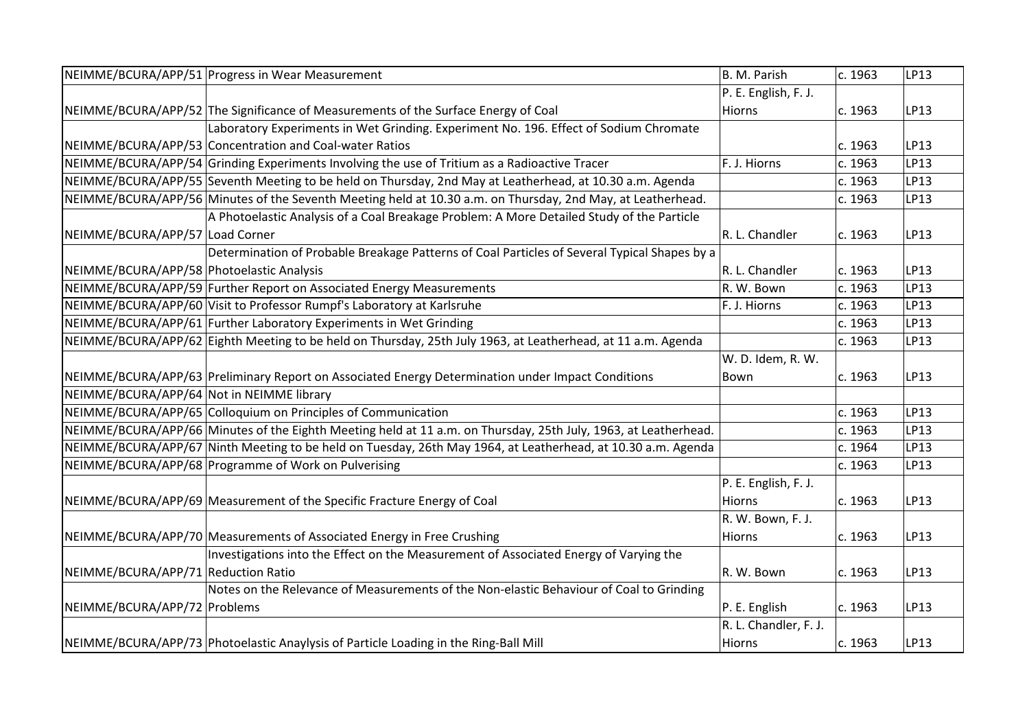|                                           | NEIMME/BCURA/APP/51 Progress in Wear Measurement                                                                | B. M. Parish          | c. 1963 | LP13 |
|-------------------------------------------|-----------------------------------------------------------------------------------------------------------------|-----------------------|---------|------|
|                                           |                                                                                                                 | P. E. English, F. J.  |         |      |
|                                           | NEIMME/BCURA/APP/52 The Significance of Measurements of the Surface Energy of Coal                              | Hiorns                | c. 1963 | LP13 |
|                                           | Laboratory Experiments in Wet Grinding. Experiment No. 196. Effect of Sodium Chromate                           |                       |         |      |
|                                           | NEIMME/BCURA/APP/53 Concentration and Coal-water Ratios                                                         |                       | c. 1963 | LP13 |
|                                           | NEIMME/BCURA/APP/54 Grinding Experiments Involving the use of Tritium as a Radioactive Tracer                   | F. J. Hiorns          | c. 1963 | LP13 |
|                                           | NEIMME/BCURA/APP/55 Seventh Meeting to be held on Thursday, 2nd May at Leatherhead, at 10.30 a.m. Agenda        |                       | c. 1963 | LP13 |
|                                           | NEIMME/BCURA/APP/56 Minutes of the Seventh Meeting held at 10.30 a.m. on Thursday, 2nd May, at Leatherhead.     |                       | c. 1963 | LP13 |
|                                           | A Photoelastic Analysis of a Coal Breakage Problem: A More Detailed Study of the Particle                       |                       |         |      |
| NEIMME/BCURA/APP/57 Load Corner           |                                                                                                                 | R. L. Chandler        | c. 1963 | LP13 |
|                                           | Determination of Probable Breakage Patterns of Coal Particles of Several Typical Shapes by a                    |                       |         |      |
| NEIMME/BCURA/APP/58 Photoelastic Analysis |                                                                                                                 | R. L. Chandler        | c. 1963 | LP13 |
|                                           | NEIMME/BCURA/APP/59 Further Report on Associated Energy Measurements                                            | R. W. Bown            | c. 1963 | LP13 |
|                                           | NEIMME/BCURA/APP/60 Visit to Professor Rumpf's Laboratory at Karlsruhe                                          | F. J. Hiorns          | c. 1963 | LP13 |
|                                           | NEIMME/BCURA/APP/61 Further Laboratory Experiments in Wet Grinding                                              |                       | c. 1963 | LP13 |
|                                           | NEIMME/BCURA/APP/62 Eighth Meeting to be held on Thursday, 25th July 1963, at Leatherhead, at 11 a.m. Agenda    |                       | c. 1963 | LP13 |
|                                           |                                                                                                                 | W. D. Idem, R. W.     |         |      |
|                                           | NEIMME/BCURA/APP/63 Preliminary Report on Associated Energy Determination under Impact Conditions               | Bown                  | c. 1963 | LP13 |
| NEIMME/BCURA/APP/64 Not in NEIMME library |                                                                                                                 |                       |         |      |
|                                           | NEIMME/BCURA/APP/65 Colloquium on Principles of Communication                                                   |                       | c. 1963 | LP13 |
|                                           | NEIMME/BCURA/APP/66 Minutes of the Eighth Meeting held at 11 a.m. on Thursday, 25th July, 1963, at Leatherhead. |                       | c. 1963 | LP13 |
|                                           | NEIMME/BCURA/APP/67 Ninth Meeting to be held on Tuesday, 26th May 1964, at Leatherhead, at 10.30 a.m. Agenda    |                       | c. 1964 | LP13 |
|                                           | NEIMME/BCURA/APP/68 Programme of Work on Pulverising                                                            |                       | c. 1963 | LP13 |
|                                           |                                                                                                                 | P. E. English, F. J.  |         |      |
|                                           | NEIMME/BCURA/APP/69 Measurement of the Specific Fracture Energy of Coal                                         | <b>Hiorns</b>         | c. 1963 | LP13 |
|                                           |                                                                                                                 | R. W. Bown, F. J.     |         |      |
|                                           | NEIMME/BCURA/APP/70 Measurements of Associated Energy in Free Crushing                                          | Hiorns                | c. 1963 | LP13 |
|                                           | Investigations into the Effect on the Measurement of Associated Energy of Varying the                           |                       |         |      |
| NEIMME/BCURA/APP/71 Reduction Ratio       |                                                                                                                 | R. W. Bown            | c. 1963 | LP13 |
|                                           | Notes on the Relevance of Measurements of the Non-elastic Behaviour of Coal to Grinding                         |                       |         |      |
| NEIMME/BCURA/APP/72 Problems              |                                                                                                                 | P. E. English         | c. 1963 | LP13 |
|                                           |                                                                                                                 | R. L. Chandler, F. J. |         |      |
|                                           | NEIMME/BCURA/APP/73 Photoelastic Anaylysis of Particle Loading in the Ring-Ball Mill                            | Hiorns                | c. 1963 | LP13 |